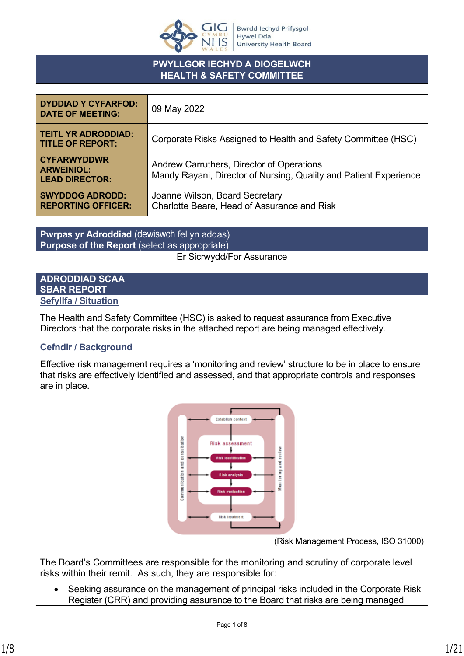

# **PWYLLGOR IECHYD A DIOGELWCH HEALTH & SAFETY COMMITTEE**

| <b>DYDDIAD Y CYFARFOD:</b><br><b>DATE OF MEETING:</b>            | 09 May 2022                                                                                                    |
|------------------------------------------------------------------|----------------------------------------------------------------------------------------------------------------|
| <b>TEITL YR ADRODDIAD:</b><br><b>TITLE OF REPORT:</b>            | Corporate Risks Assigned to Health and Safety Committee (HSC)                                                  |
| <b>CYFARWYDDWR</b><br><b>ARWEINIOL:</b><br><b>LEAD DIRECTOR:</b> | Andrew Carruthers, Director of Operations<br>Mandy Rayani, Director of Nursing, Quality and Patient Experience |
| <b>SWYDDOG ADRODD:</b><br><b>REPORTING OFFICER:</b>              | Joanne Wilson, Board Secretary<br>Charlotte Beare, Head of Assurance and Risk                                  |

**Pwrpas yr Adroddiad** (dewiswch fel yn addas) **Purpose of the Report** (select as appropriate) Er Sicrwydd/For Assurance

# **ADRODDIAD SCAA SBAR REPORT**

## **Sefyllfa / Situation**

The Health and Safety Committee (HSC) is asked to request assurance from Executive Directors that the corporate risks in the attached report are being managed effectively.

# **Cefndir / Background**

Effective risk management requires a 'monitoring and review' structure to be in place to ensure that risks are effectively identified and assessed, and that appropriate controls and responses are in place.



(Risk Management Process, ISO 31000)

The Board's Committees are responsible for the monitoring and scrutiny of corporate level risks within their remit. As such, they are responsible for:

• Seeking assurance on the management of principal risks included in the Corporate Risk Register (CRR) and providing assurance to the Board that risks are being managed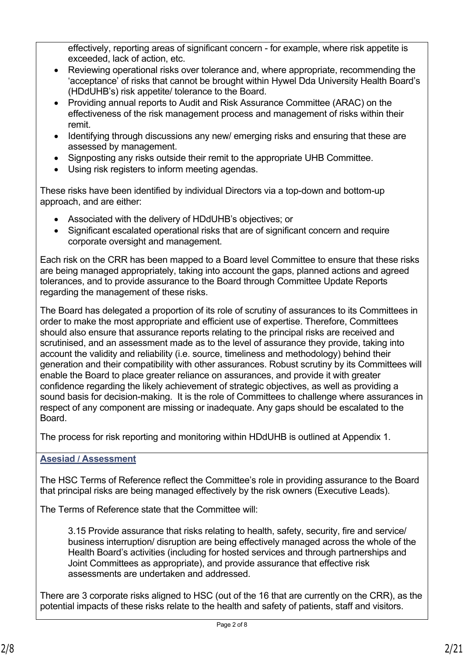effectively, reporting areas of significant concern - for example, where risk appetite is exceeded, lack of action, etc.

- Reviewing operational risks over tolerance and, where appropriate, recommending the 'acceptance' of risks that cannot be brought within Hywel Dda University Health Board's (HDdUHB's) risk appetite/ tolerance to the Board.
- Providing annual reports to Audit and Risk Assurance Committee (ARAC) on the effectiveness of the risk management process and management of risks within their remit.
- Identifying through discussions any new/ emerging risks and ensuring that these are assessed by management.
- Signposting any risks outside their remit to the appropriate UHB Committee.
- Using risk registers to inform meeting agendas.

These risks have been identified by individual Directors via a top-down and bottom-up approach, and are either:

- Associated with the delivery of HDdUHB's objectives; or
- Significant escalated operational risks that are of significant concern and require corporate oversight and management.

Each risk on the CRR has been mapped to a Board level Committee to ensure that these risks are being managed appropriately, taking into account the gaps, planned actions and agreed tolerances, and to provide assurance to the Board through Committee Update Reports regarding the management of these risks.

The Board has delegated a proportion of its role of scrutiny of assurances to its Committees in order to make the most appropriate and efficient use of expertise. Therefore, Committees should also ensure that assurance reports relating to the principal risks are received and scrutinised, and an assessment made as to the level of assurance they provide, taking into account the validity and reliability (i.e. source, timeliness and methodology) behind their generation and their compatibility with other assurances. Robust scrutiny by its Committees will enable the Board to place greater reliance on assurances, and provide it with greater confidence regarding the likely achievement of strategic objectives, as well as providing a sound basis for decision-making. It is the role of Committees to challenge where assurances in respect of any component are missing or inadequate. Any gaps should be escalated to the Board.

The process for risk reporting and monitoring within HDdUHB is outlined at Appendix 1.

# **Asesiad / Assessment**

The HSC Terms of Reference reflect the Committee's role in providing assurance to the Board that principal risks are being managed effectively by the risk owners (Executive Leads).

The Terms of Reference state that the Committee will:

3.15 Provide assurance that risks relating to health, safety, security, fire and service/ business interruption/ disruption are being effectively managed across the whole of the Health Board's activities (including for hosted services and through partnerships and Joint Committees as appropriate), and provide assurance that effective risk assessments are undertaken and addressed.

There are 3 corporate risks aligned to HSC (out of the 16 that are currently on the CRR), as the potential impacts of these risks relate to the health and safety of patients, staff and visitors.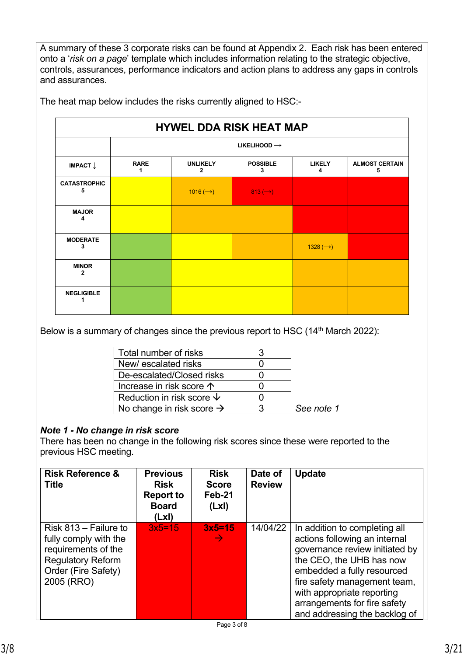A summary of these 3 corporate risks can be found at Appendix 2. Each risk has been entered onto a '*risk on a page*' template which includes information relating to the strategic objective, controls, assurances, performance indicators and action plans to address any gaps in controls and assurances.

|                              | <b>HYWEL DDA RISK HEAT MAP</b> |                                   |                                  |                      |                            |  |  |  |  |
|------------------------------|--------------------------------|-----------------------------------|----------------------------------|----------------------|----------------------------|--|--|--|--|
|                              |                                | LIKELIHOOD $\rightarrow$          |                                  |                      |                            |  |  |  |  |
| IMPACT $\downarrow$          | <b>RARE</b>                    | <b>UNLIKELY</b><br>$\overline{2}$ | <b>POSSIBLE</b><br>3             | <b>LIKELY</b><br>4   | <b>ALMOST CERTAIN</b><br>5 |  |  |  |  |
| <b>CATASTROPHIC</b><br>5     |                                | 1016 $(\rightarrow)$              | $813 \left( \rightarrow \right)$ |                      |                            |  |  |  |  |
| <b>MAJOR</b><br>4            |                                |                                   |                                  |                      |                            |  |  |  |  |
| <b>MODERATE</b><br>3         |                                |                                   |                                  | 1328 $(\rightarrow)$ |                            |  |  |  |  |
| <b>MINOR</b><br>$\mathbf{2}$ |                                |                                   |                                  |                      |                            |  |  |  |  |
| <b>NEGLIGIBLE</b>            |                                |                                   |                                  |                      |                            |  |  |  |  |

The heat map below includes the risks currently aligned to HSC:-

Below is a summary of changes since the previous report to HSC (14<sup>th</sup> March 2022):

| Total number of risks                 |            |
|---------------------------------------|------------|
| New/escalated risks                   |            |
| De-escalated/Closed risks             |            |
| Increase in risk score 个              |            |
| Reduction in risk score $\psi$        |            |
| No change in risk score $\rightarrow$ | See note 1 |

# *Note 1 - No change in risk score*

There has been no change in the following risk scores since these were reported to the previous HSC meeting.

| <b>Risk Reference &amp;</b><br><b>Title</b>                                                                                              | <b>Previous</b><br><b>Risk</b><br><b>Report to</b><br><b>Board</b><br>(LxI) | <b>Risk</b><br><b>Score</b><br>Feb-21<br>(Lx) | Date of<br><b>Review</b> | <b>Update</b>                                                                                                                                                                                                                                                                             |
|------------------------------------------------------------------------------------------------------------------------------------------|-----------------------------------------------------------------------------|-----------------------------------------------|--------------------------|-------------------------------------------------------------------------------------------------------------------------------------------------------------------------------------------------------------------------------------------------------------------------------------------|
| Risk $813 -$ Failure to<br>fully comply with the<br>requirements of the<br><b>Regulatory Reform</b><br>Order (Fire Safety)<br>2005 (RRO) | $3x5=15$                                                                    | $3x5=15$<br>$\rightarrow$                     | 14/04/22                 | In addition to completing all<br>actions following an internal<br>governance review initiated by<br>the CEO, the UHB has now<br>embedded a fully resourced<br>fire safety management team,<br>with appropriate reporting<br>arrangements for fire safety<br>and addressing the backlog of |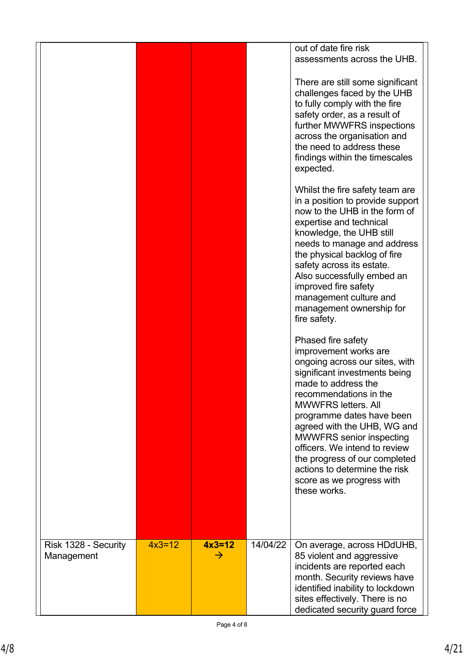|                                    |          |                           |          | out of date fire risk<br>assessments across the UHB.                                                                                                                                                                                                                                                                                                                                                                                         |
|------------------------------------|----------|---------------------------|----------|----------------------------------------------------------------------------------------------------------------------------------------------------------------------------------------------------------------------------------------------------------------------------------------------------------------------------------------------------------------------------------------------------------------------------------------------|
|                                    |          |                           |          | There are still some significant<br>challenges faced by the UHB<br>to fully comply with the fire<br>safety order, as a result of<br>further MWWFRS inspections<br>across the organisation and<br>the need to address these<br>findings within the timescales<br>expected.                                                                                                                                                                    |
|                                    |          |                           |          | Whilst the fire safety team are<br>in a position to provide support<br>now to the UHB in the form of<br>expertise and technical<br>knowledge, the UHB still<br>needs to manage and address<br>the physical backlog of fire<br>safety across its estate.<br>Also successfully embed an<br>improved fire safety<br>management culture and<br>management ownership for<br>fire safety.                                                          |
|                                    |          |                           |          | Phased fire safety<br>improvement works are<br>ongoing across our sites, with<br>significant investments being<br>made to address the<br>recommendations in the<br><b>MWWFRS letters, All</b><br>programme dates have been<br>agreed with the UHB, WG and<br><b>MWWFRS</b> senior inspecting<br>officers. We intend to review<br>the progress of our completed<br>actions to determine the risk<br>score as we progress with<br>these works. |
| Risk 1328 - Security<br>Management | $4x3=12$ | $4x3=12$<br>$\rightarrow$ | 14/04/22 | On average, across HDdUHB,<br>85 violent and aggressive<br>incidents are reported each<br>month. Security reviews have<br>identified inability to lockdown<br>sites effectively. There is no<br>dedicated security guard force                                                                                                                                                                                                               |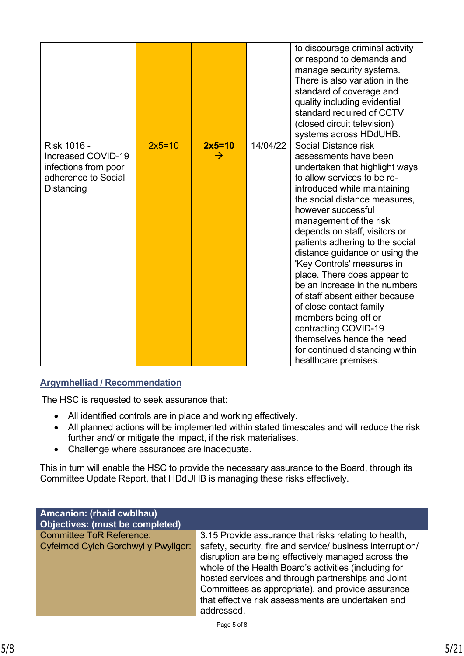|                                                                                                |          |                           |          | to discourage criminal activity<br>or respond to demands and<br>manage security systems.<br>There is also variation in the<br>standard of coverage and<br>quality including evidential<br>standard required of CCTV<br>(closed circuit television)                                                                                                                                                                                                                                                                                                                                                                                                                 |
|------------------------------------------------------------------------------------------------|----------|---------------------------|----------|--------------------------------------------------------------------------------------------------------------------------------------------------------------------------------------------------------------------------------------------------------------------------------------------------------------------------------------------------------------------------------------------------------------------------------------------------------------------------------------------------------------------------------------------------------------------------------------------------------------------------------------------------------------------|
| Risk 1016 -<br>Increased COVID-19<br>infections from poor<br>adherence to Social<br>Distancing | $2x5=10$ | $2x5=10$<br>$\rightarrow$ | 14/04/22 | systems across HDdUHB.<br>Social Distance risk<br>assessments have been<br>undertaken that highlight ways<br>to allow services to be re-<br>introduced while maintaining<br>the social distance measures,<br>however successful<br>management of the risk<br>depends on staff, visitors or<br>patients adhering to the social<br>distance guidance or using the<br>'Key Controls' measures in<br>place. There does appear to<br>be an increase in the numbers<br>of staff absent either because<br>of close contact family<br>members being off or<br>contracting COVID-19<br>themselves hence the need<br>for continued distancing within<br>healthcare premises. |

# **Argymhelliad / Recommendation**

The HSC is requested to seek assurance that:

- All identified controls are in place and working effectively.
- All planned actions will be implemented within stated timescales and will reduce the risk further and/ or mitigate the impact, if the risk materialises.
- Challenge where assurances are inadequate.

This in turn will enable the HSC to provide the necessary assurance to the Board, through its Committee Update Report, that HDdUHB is managing these risks effectively.

| <b>Amcanion: (rhaid cwblhau)</b><br><b>Objectives: (must be completed)</b> |                                                                                                                                                                                                                                                                                                                                                           |
|----------------------------------------------------------------------------|-----------------------------------------------------------------------------------------------------------------------------------------------------------------------------------------------------------------------------------------------------------------------------------------------------------------------------------------------------------|
| <b>Committee ToR Reference:</b>                                            | 3.15 Provide assurance that risks relating to health,                                                                                                                                                                                                                                                                                                     |
| Cyfeirnod Cylch Gorchwyl y Pwyllgor:                                       | safety, security, fire and service/ business interruption/<br>disruption are being effectively managed across the<br>whole of the Health Board's activities (including for<br>hosted services and through partnerships and Joint<br>Committees as appropriate), and provide assurance<br>that effective risk assessments are undertaken and<br>addressed. |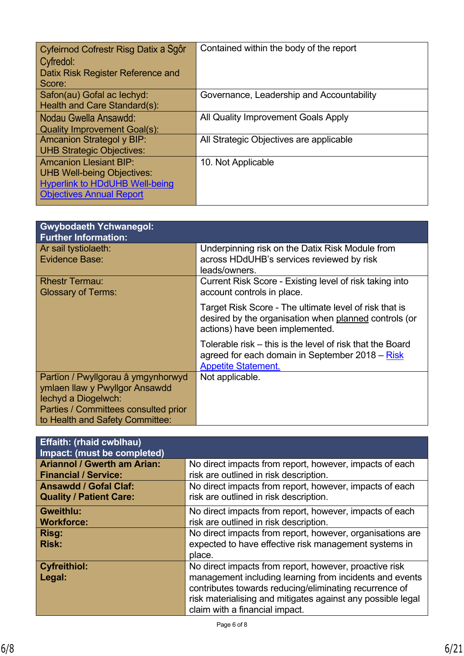| Cyfeirnod Cofrestr Risg Datix a Sgôr<br>Cyfredol:<br>Datix Risk Register Reference and<br>Score:                                               | Contained within the body of the report   |
|------------------------------------------------------------------------------------------------------------------------------------------------|-------------------------------------------|
| Safon(au) Gofal ac lechyd:<br>Health and Care Standard(s):                                                                                     | Governance, Leadership and Accountability |
| Nodau Gwella Ansawdd:<br><b>Quality Improvement Goal(s):</b>                                                                                   | All Quality Improvement Goals Apply       |
| <b>Amcanion Strategol y BIP:</b><br><b>UHB Strategic Objectives:</b>                                                                           | All Strategic Objectives are applicable   |
| <b>Amcanion Llesiant BIP:</b><br><b>UHB Well-being Objectives:</b><br><b>Hyperlink to HDdUHB Well-being</b><br><b>Objectives Annual Report</b> | 10. Not Applicable                        |

| <b>Gwybodaeth Ychwanegol:</b><br><b>Further Information:</b>                                                                                                           |                                                                                                                                                    |
|------------------------------------------------------------------------------------------------------------------------------------------------------------------------|----------------------------------------------------------------------------------------------------------------------------------------------------|
| Ar sail tystiolaeth:<br>Evidence Base:                                                                                                                                 | Underpinning risk on the Datix Risk Module from<br>across HDdUHB's services reviewed by risk<br>leads/owners.                                      |
| <b>Rhestr Termau:</b><br><b>Glossary of Terms:</b>                                                                                                                     | Current Risk Score - Existing level of risk taking into<br>account controls in place.                                                              |
|                                                                                                                                                                        | Target Risk Score - The ultimate level of risk that is<br>desired by the organisation when planned controls (or<br>actions) have been implemented. |
|                                                                                                                                                                        | Tolerable risk – this is the level of risk that the Board<br>agreed for each domain in September 2018 – Risk<br><b>Appetite Statement.</b>         |
| Partïon / Pwyllgorau â ymgynhorwyd<br>ymlaen llaw y Pwyllgor Ansawdd<br>lechyd a Diogelwch:<br>Parties / Committees consulted prior<br>to Health and Safety Committee: | Not applicable.                                                                                                                                    |

| <b>Effaith: (rhaid cwblhau)</b><br>Impact: (must be completed) |                                                             |
|----------------------------------------------------------------|-------------------------------------------------------------|
| <b>Ariannol / Gwerth am Arian:</b>                             | No direct impacts from report, however, impacts of each     |
| <b>Financial / Service:</b>                                    | risk are outlined in risk description.                      |
| <b>Ansawdd / Gofal Claf:</b>                                   | No direct impacts from report, however, impacts of each     |
| <b>Quality / Patient Care:</b>                                 | risk are outlined in risk description.                      |
| <b>Gweithlu:</b>                                               | No direct impacts from report, however, impacts of each     |
| <b>Workforce:</b>                                              | risk are outlined in risk description.                      |
| Risg:                                                          | No direct impacts from report, however, organisations are   |
| <b>Risk:</b>                                                   | expected to have effective risk management systems in       |
|                                                                | place.                                                      |
| <b>Cyfreithiol:</b>                                            | No direct impacts from report, however, proactive risk      |
| Legal:                                                         | management including learning from incidents and events     |
|                                                                | contributes towards reducing/eliminating recurrence of      |
|                                                                | risk materialising and mitigates against any possible legal |
|                                                                | claim with a financial impact.                              |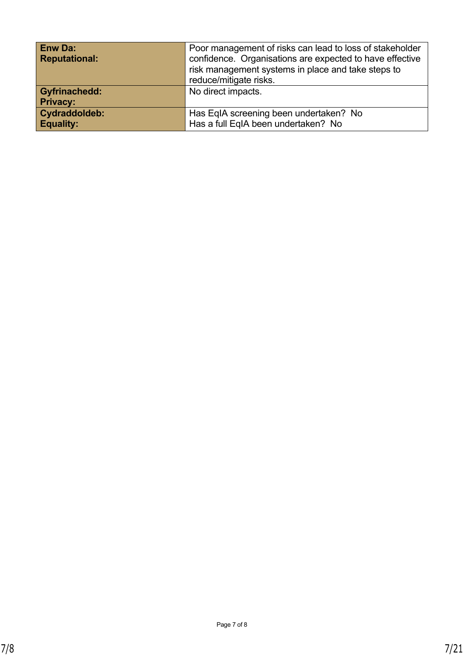| <b>Enw Da:</b><br><b>Reputational:</b>  | Poor management of risks can lead to loss of stakeholder<br>confidence. Organisations are expected to have effective<br>risk management systems in place and take steps to<br>reduce/mitigate risks. |
|-----------------------------------------|------------------------------------------------------------------------------------------------------------------------------------------------------------------------------------------------------|
| <b>Gyfrinachedd:</b><br><b>Privacy:</b> | No direct impacts.                                                                                                                                                                                   |
| Cydraddoldeb:<br><b>Equality:</b>       | Has EqIA screening been undertaken? No<br>Has a full EqIA been undertaken? No                                                                                                                        |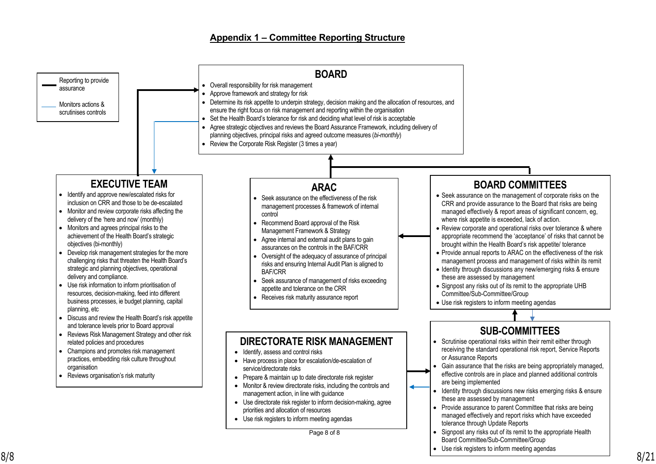## **Appendix 1 – Committee Reporting Structure**

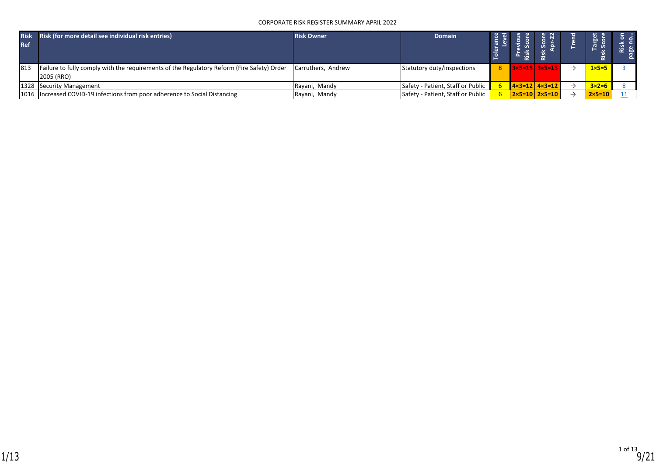### CORPORATE RISK REGISTER SUMMARY APRIL 2022

| <b>Risk</b><br><b>Ref</b> | Risk (for more detail see individual risk entries)                                                       | <b>Risk Owner</b>  | <b>Domain</b>                     |  |                                      | --               |  |
|---------------------------|----------------------------------------------------------------------------------------------------------|--------------------|-----------------------------------|--|--------------------------------------|------------------|--|
| 813                       | Failure to fully comply with the requirements of the Regulatory Reform (Fire Safety) Order<br>2005 (RRO) | Carruthers, Andrew | Statutory duty/inspections        |  | $8$   3×5=15   3×5=15                | $1 \times 5 = 5$ |  |
|                           | 1328 Security Management                                                                                 | Rayani, Mandy      | Safety - Patient, Staff or Public |  | $14 \times 3 = 12$ $4 \times 3 = 12$ | $3 \times 2 = 6$ |  |
|                           | 1016 Increased COVID-19 infections from poor adherence to Social Distancing                              | Rayani, Mandy      | Safety - Patient, Staff or Public |  | $2 \times 5 = 10$   2×5=10           | $2\times 5=10$   |  |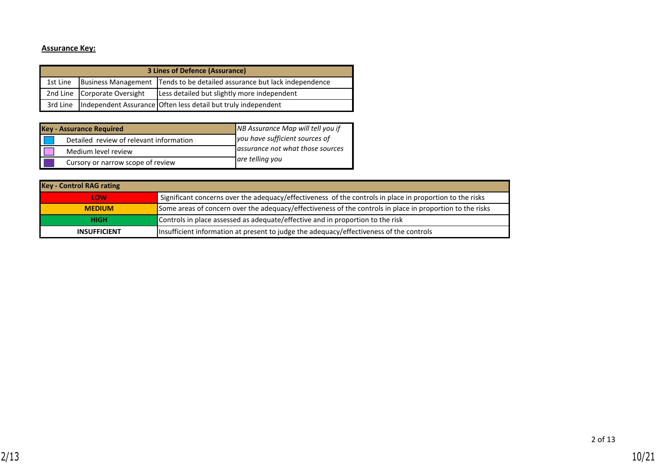## **Assurance Key:**

|          |                              | 3 Lines of Defence (Assurance)                                             |
|----------|------------------------------|----------------------------------------------------------------------------|
| 1st Line |                              | Business Management   Tends to be detailed assurance but lack independence |
|          | 2nd Line Corporate Oversight | Less detailed but slightly more independent                                |
|          |                              | 3rd Line  Independent Assurance Often less detail but truly independent    |

| <b>Key - Assurance Required</b>         | NB Assurance Map will tell you if |
|-----------------------------------------|-----------------------------------|
| Detailed review of relevant information | you have sufficient sources of    |
| Medium level review                     | assurance not what those sources  |
| Cursory or narrow scope of review       | are telling you                   |

| <b>Key - Control RAG rating</b> |                                                                                                           |
|---------------------------------|-----------------------------------------------------------------------------------------------------------|
| LOW                             | Significant concerns over the adequacy/effectiveness of the controls in place in proportion to the risks  |
| <b>MEDIUM</b>                   | Some areas of concern over the adequacy/effectiveness of the controls in place in proportion to the risks |
| <b>HIGH</b>                     | Controls in place assessed as adequate/effective and in proportion to the risk                            |
| <b>INSUFFICIENT</b>             | Insufficient information at present to judge the adequacy/effectiveness of the controls                   |

2 of 13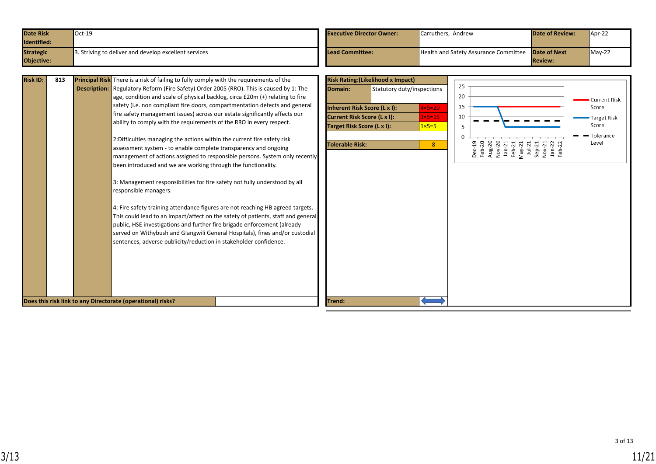| <b>Date Risk</b> | $Oct-19$                                              | <b>Executive Director Owner:</b> | Carruthers, Andrew                                        | <b>Date of Review:</b> | $\sqrt{\text{Apr-22}}$ |
|------------------|-------------------------------------------------------|----------------------------------|-----------------------------------------------------------|------------------------|------------------------|
| Identified:      |                                                       |                                  |                                                           |                        |                        |
| <b>Strategic</b> | 3. Striving to deliver and develop excellent services | <b>Lead Committee:</b>           | <b>Health and Safety Assurance Committee Date of Next</b> |                        | $M$ ay-22              |
| Objective:       |                                                       |                                  |                                                           | <b>Review:</b>         |                        |

| <b>Risk ID:</b><br><b>Principal Risk</b> There is a risk of failing to fully comply with the requirements of the<br>813<br><b>Description:</b> Regulatory Reform (Fire Safety) Order 2005 (RRO). This is caused by 1: The<br>age, condition and scale of physical backlog, circa $£20m (+)$ relating to fire<br>safety (i.e. non compliant fire doors, compartmentation defects and general<br>fire safety management issues) across our estate significantly affects our<br>ability to comply with the requirements of the RRO in every respect.<br>2: Difficulties managing the actions within the current fire safety risk<br>assessment system - to enable complete transparency and ongoing<br>management of actions assigned to responsible persons. System only recently<br>been introduced and we are working through the functionality.<br>3: Management responsibilities for fire safety not fully understood by all<br>responsible managers.<br>4: Fire safety training attendance figures are not reaching HB agreed targets.<br>This could lead to an impact/affect on the safety of patients, staff and general<br>public, HSE investigations and further fire brigade enforcement (already<br>served on Withybush and Glangwili General Hospitals), fines and/or custodial<br>sentences, adverse publicity/reduction in stakeholder confidence.<br>Does this risk link to any Directorate (operational) risks? | <b>Risk Rating: (Likelihood x Impact)</b><br>25<br>Domain:<br>Statutory duty/inspections<br>20<br><b>Current Risk</b><br>15<br>$4 \times 5 = 20$<br>Inherent Risk Score (L x I):<br>Score<br>10<br>Current Risk Score (L x I):<br>$3\times 5=15$<br><b>Target Risk</b><br>Score<br>Target Risk Score (L x I):<br>$1 \times 5 = 5$<br>Tolerance<br>Level<br>Dec-19<br>Feb-20<br>Aug-20<br>Nov-20<br>Jan-21<br>Feb-21<br><b>Tolerable Risk:</b><br>8<br>May<br>July<br>Septem<br>May<br>Rebi<br>Trend: |
|-------------------------------------------------------------------------------------------------------------------------------------------------------------------------------------------------------------------------------------------------------------------------------------------------------------------------------------------------------------------------------------------------------------------------------------------------------------------------------------------------------------------------------------------------------------------------------------------------------------------------------------------------------------------------------------------------------------------------------------------------------------------------------------------------------------------------------------------------------------------------------------------------------------------------------------------------------------------------------------------------------------------------------------------------------------------------------------------------------------------------------------------------------------------------------------------------------------------------------------------------------------------------------------------------------------------------------------------------------------------------------------------------------------------------------|------------------------------------------------------------------------------------------------------------------------------------------------------------------------------------------------------------------------------------------------------------------------------------------------------------------------------------------------------------------------------------------------------------------------------------------------------------------------------------------------------|
|-------------------------------------------------------------------------------------------------------------------------------------------------------------------------------------------------------------------------------------------------------------------------------------------------------------------------------------------------------------------------------------------------------------------------------------------------------------------------------------------------------------------------------------------------------------------------------------------------------------------------------------------------------------------------------------------------------------------------------------------------------------------------------------------------------------------------------------------------------------------------------------------------------------------------------------------------------------------------------------------------------------------------------------------------------------------------------------------------------------------------------------------------------------------------------------------------------------------------------------------------------------------------------------------------------------------------------------------------------------------------------------------------------------------------------|------------------------------------------------------------------------------------------------------------------------------------------------------------------------------------------------------------------------------------------------------------------------------------------------------------------------------------------------------------------------------------------------------------------------------------------------------------------------------------------------------|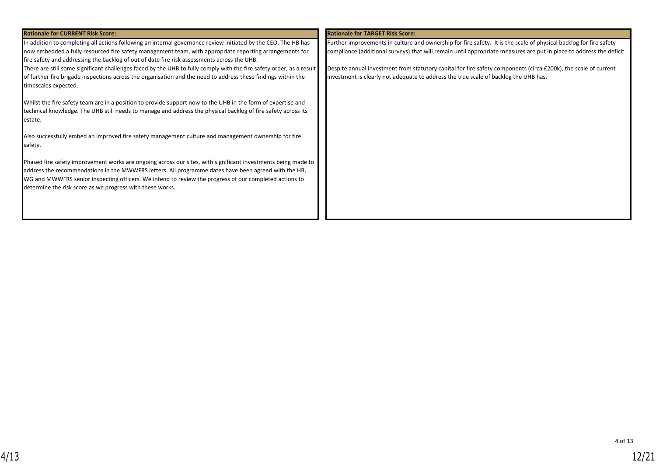| <b>Rationale for CURRENT Risk Score:</b>                                                                                                                                                                                                                                                                                                                                                     | <b>Rationale for TARGET Risk Score:</b>                                                                                                                                                                                                    |
|----------------------------------------------------------------------------------------------------------------------------------------------------------------------------------------------------------------------------------------------------------------------------------------------------------------------------------------------------------------------------------------------|--------------------------------------------------------------------------------------------------------------------------------------------------------------------------------------------------------------------------------------------|
| In addition to completing all actions following an internal governance review initiated by the CEO. The HB has<br>now embedded a fully resourced fire safety management team, with appropriate reporting arrangements for<br>fire safety and addressing the backlog of out of date fire risk assessments across the UHB.                                                                     | Further improvements in culture and ownership for fire safety. It is the scale of physical backlog for fire safety<br>compliance (additional surveys) that will remain until appropriate measures are put in place to address the deficit. |
| There are still some significant challenges faced by the UHB to fully comply with the fire safety order, as a result<br>of further fire brigade inspections across the organisation and the need to address these findings within the<br>timescales expected.                                                                                                                                | Despite annual investment from statutory capital for fire safety components (circa £200k), the scale of current<br>investment is clearly not adequate to address the true scale of backlog the UHB has.                                    |
| Whilst the fire safety team are in a position to provide support now to the UHB in the form of expertise and<br>technical knowledge. The UHB still needs to manage and address the physical backlog of fire safety across its<br>estate.                                                                                                                                                     |                                                                                                                                                                                                                                            |
| Also successfully embed an improved fire safety management culture and management ownership for fire<br>safety.                                                                                                                                                                                                                                                                              |                                                                                                                                                                                                                                            |
| Phased fire safety improvement works are ongoing across our sites, with significant investments being made to<br>address the recommendations in the MWWFRS letters. All programme dates have been agreed with the HB,<br>WG and MWWFRS senior inspecting officers. We intend to review the progress of our completed actions to<br>determine the risk score as we progress with these works. |                                                                                                                                                                                                                                            |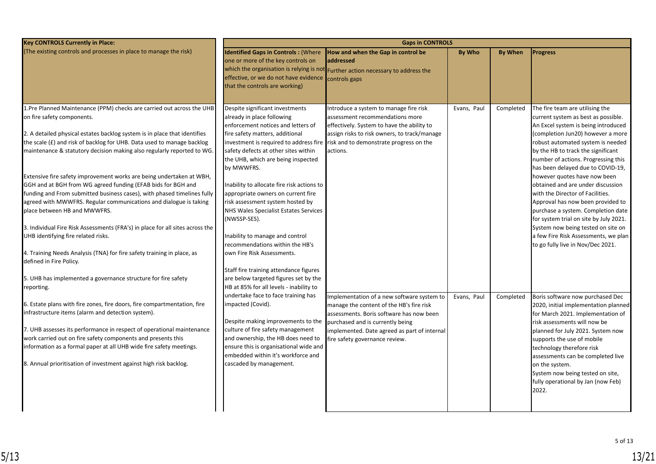| <b>Key CONTROLS Currently in Place:</b>                                       |                                                                              | <b>Gaps in CONTROLS</b>                                                          |             |           |                                             |
|-------------------------------------------------------------------------------|------------------------------------------------------------------------------|----------------------------------------------------------------------------------|-------------|-----------|---------------------------------------------|
| (The existing controls and processes in place to manage the risk)             | <b>Identified Gaps in Controls: (Where</b>                                   | How and when the Gap in control be                                               | By Who      | By When   | <b>Progress</b>                             |
|                                                                               | one or more of the key controls on                                           | addressed                                                                        |             |           |                                             |
|                                                                               |                                                                              | which the organisation is relying is not Further action necessary to address the |             |           |                                             |
|                                                                               | effective, or we do not have evidence                                        | controls gaps                                                                    |             |           |                                             |
|                                                                               | that the controls are working)                                               |                                                                                  |             |           |                                             |
|                                                                               |                                                                              |                                                                                  |             |           |                                             |
| 1.Pre Planned Maintenance (PPM) checks are carried out across the UHB         | Despite significant investments                                              | Introduce a system to manage fire risk                                           | Evans, Paul | Completed | The fire team are utilising the             |
| on fire safety components.                                                    | already in place following                                                   | assessment recommendations more                                                  |             |           | current system as best as possible.         |
|                                                                               | enforcement notices and letters of                                           | effectively. System to have the ability to                                       |             |           | An Excel system is being introduced         |
| 2. A detailed physical estates backlog system is in place that identifies     | fire safety matters, additional                                              | assign risks to risk owners, to track/manage                                     |             |           | (completion Jun20) however a more           |
| the scale (£) and risk of backlog for UHB. Data used to manage backlog        |                                                                              | investment is required to address fire risk and to demonstrate progress on the   |             |           | robust automated system is needed           |
| maintenance & statutory decision making also regularly reported to WG.        | safety defects at other sites within                                         | actions.                                                                         |             |           | by the HB to track the significant          |
|                                                                               | the UHB, which are being inspected                                           |                                                                                  |             |           | number of actions. Progressing this         |
|                                                                               | by MWWFRS.                                                                   |                                                                                  |             |           | has been delayed due to COVID-19,           |
| Extensive fire safety improvement works are being undertaken at WBH,          |                                                                              |                                                                                  |             |           | however quotes have now been                |
| GGH and at BGH from WG agreed funding (EFAB bids for BGH and                  | Inability to allocate fire risk actions to                                   |                                                                                  |             |           | obtained and are under discussion           |
| funding and From submitted business cases), with phased timelines fully       | appropriate owners on current fire                                           |                                                                                  |             |           | with the Director of Facilities.            |
| agreed with MWWFRS. Regular communications and dialogue is taking             | risk assessment system hosted by                                             |                                                                                  |             |           | Approval has now been provided to           |
| place between HB and MWWFRS.                                                  | <b>NHS Wales Specialist Estates Services</b>                                 |                                                                                  |             |           | purchase a system. Completion date          |
|                                                                               | (NWSSP-SES).                                                                 |                                                                                  |             |           | for system trial on site by July 2021.      |
| 3. Individual Fire Risk Assessments (FRA's) in place for all sites across the |                                                                              |                                                                                  |             |           | System now being tested on site on          |
| UHB identifying fire related risks.                                           | Inability to manage and control                                              |                                                                                  |             |           | a few Fire Risk Assessments, we plan        |
|                                                                               | recommendations within the HB's                                              |                                                                                  |             |           | to go fully live in Nov/Dec 2021.           |
| 4. Training Needs Analysis (TNA) for fire safety training in place, as        | own Fire Risk Assessments.                                                   |                                                                                  |             |           |                                             |
| defined in Fire Policy.                                                       |                                                                              |                                                                                  |             |           |                                             |
|                                                                               | Staff fire training attendance figures                                       |                                                                                  |             |           |                                             |
| 5. UHB has implemented a governance structure for fire safety                 | are below targeted figures set by the                                        |                                                                                  |             |           |                                             |
| reporting.                                                                    | HB at 85% for all levels - inability to                                      |                                                                                  |             |           |                                             |
|                                                                               | undertake face to face training has                                          | Implementation of a new software system to                                       | Evans, Paul | Completed | Boris software now purchased Dec            |
| 6. Estate plans with fire zones, fire doors, fire compartmentation, fire      | impacted (Covid).                                                            | manage the content of the HB's fire risk                                         |             |           | 2020, initial implementation planned        |
| infrastructure items (alarm and detection system).                            |                                                                              | assessments. Boris software has now been                                         |             |           | for March 2021. Implementation of           |
| 7. UHB assesses its performance in respect of operational maintenance         | Despite making improvements to the<br>culture of fire safety management      | purchased and is currently being                                                 |             |           | risk assessments will now be                |
| work carried out on fire safety components and presents this                  |                                                                              | implemented. Date agreed as part of internal                                     |             |           | planned for July 2021. System now           |
| information as a formal paper at all UHB wide fire safety meetings.           | and ownership, the HB does need to<br>ensure this is organisational wide and | fire safety governance review.                                                   |             |           | supports the use of mobile                  |
|                                                                               | embedded within it's workforce and                                           |                                                                                  |             |           | technology therefore risk                   |
| 8. Annual prioritisation of investment against high risk backlog.             | cascaded by management.                                                      |                                                                                  |             |           | assessments can be completed live           |
|                                                                               |                                                                              |                                                                                  |             |           | on the system.                              |
|                                                                               |                                                                              |                                                                                  |             |           | System now being tested on site,            |
|                                                                               |                                                                              |                                                                                  |             |           | fully operational by Jan (now Feb)<br>2022. |
|                                                                               |                                                                              |                                                                                  |             |           |                                             |
|                                                                               |                                                                              |                                                                                  |             |           |                                             |
|                                                                               |                                                                              |                                                                                  |             |           |                                             |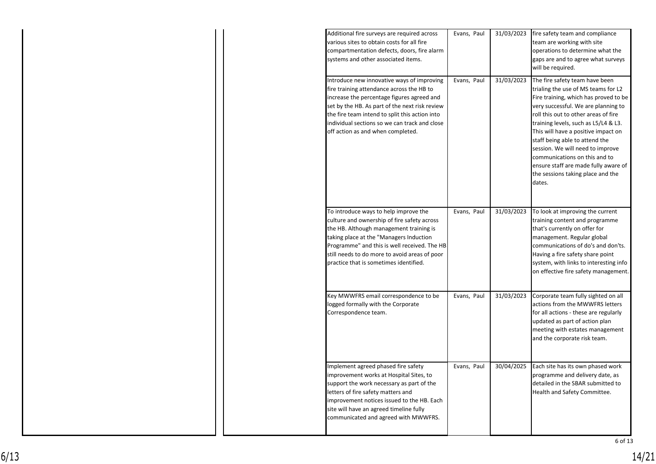| Additional fire surveys are required across<br>various sites to obtain costs for all fire<br>compartmentation defects, doors, fire alarm<br>systems and other associated items.                                                                                                                                                 | Evans, Paul | 31/03/2023 | fire safety team and compliance<br>team are working with site<br>operations to determine what the<br>gaps are and to agree what surveys<br>will be required.                                                                                                                                                                                                                                                                                                               |
|---------------------------------------------------------------------------------------------------------------------------------------------------------------------------------------------------------------------------------------------------------------------------------------------------------------------------------|-------------|------------|----------------------------------------------------------------------------------------------------------------------------------------------------------------------------------------------------------------------------------------------------------------------------------------------------------------------------------------------------------------------------------------------------------------------------------------------------------------------------|
| Introduce new innovative ways of improving<br>fire training attendance across the HB to<br>increase the percentage figures agreed and<br>set by the HB. As part of the next risk review<br>the fire team intend to split this action into<br>individual sections so we can track and close<br>off action as and when completed. | Evans, Paul | 31/03/2023 | The fire safety team have been<br>trialing the use of MS teams for L2<br>Fire training, which has proved to be<br>very successful. We are planning to<br>roll this out to other areas of fire<br>training levels, such as L5/L4 & L3.<br>This will have a positive impact on<br>staff being able to attend the<br>session. We will need to improve<br>communications on this and to<br>ensure staff are made fully aware of<br>the sessions taking place and the<br>dates. |
| To introduce ways to help improve the<br>culture and ownership of fire safety across<br>the HB. Although management training is<br>taking place at the "Managers Induction<br>Programme" and this is well received. The HB<br>still needs to do more to avoid areas of poor<br>practice that is sometimes identified.           | Evans, Paul | 31/03/2023 | To look at improving the current<br>training content and programme<br>that's currently on offer for<br>management. Regular global<br>communications of do's and don'ts.<br>Having a fire safety share point<br>system, with links to interesting info<br>on effective fire safety management.                                                                                                                                                                              |
| Key MWWFRS email correspondence to be<br>logged formally with the Corporate<br>Correspondence team.                                                                                                                                                                                                                             | Evans, Paul | 31/03/2023 | Corporate team fully sighted on all<br>actions from the MWWFRS letters<br>for all actions - these are regularly<br>updated as part of action plan<br>meeting with estates management<br>and the corporate risk team.                                                                                                                                                                                                                                                       |
| Implement agreed phased fire safety<br>improvement works at Hospital Sites, to<br>support the work necessary as part of the<br>letters of fire safety matters and<br>improvement notices issued to the HB. Each<br>site will have an agreed timeline fully<br>communicated and agreed with MWWFRS.                              | Evans, Paul | 30/04/2025 | Each site has its own phased work<br>programme and delivery date, as<br>detailed in the SBAR submitted to<br>Health and Safety Committee.                                                                                                                                                                                                                                                                                                                                  |

6 of 13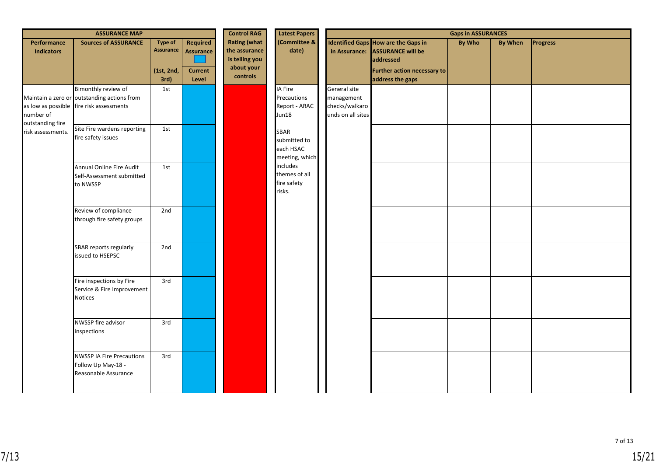|                                  | <b>ASSURANCE MAP</b>                                                                                           |                                                   |                                                         | <b>Control RAG</b>                                                               | <b>Latest Papers</b>                                       |                                                                   |                                                                                                                                               | <b>Gaps in ASSURANCES</b> |                |                 |
|----------------------------------|----------------------------------------------------------------------------------------------------------------|---------------------------------------------------|---------------------------------------------------------|----------------------------------------------------------------------------------|------------------------------------------------------------|-------------------------------------------------------------------|-----------------------------------------------------------------------------------------------------------------------------------------------|---------------------------|----------------|-----------------|
| Performance<br><b>Indicators</b> | <b>Sources of ASSURANCE</b>                                                                                    | <b>Type of</b><br>Assurance<br>(1st, 2nd,<br>3rd) | Required<br><b>Assurance</b><br><b>Current</b><br>Level | <b>Rating (what</b><br>the assurance<br>is telling you<br>about your<br>controls | (Committee &<br>date)                                      |                                                                   | <b>Identified Gaps How are the Gaps in</b><br>in Assurance: ASSURANCE will be<br>addressed<br>Further action necessary to<br>address the gaps | <b>By Who</b>             | <b>By When</b> | <b>Progress</b> |
| number of<br>outstanding fire    | Bimonthly review of<br>Maintain a zero or outstanding actions from<br>as low as possible fire risk assessments | 1st                                               |                                                         |                                                                                  | IA Fire<br>Precautions<br>Report - ARAC<br>Jun18           | General site<br>management<br>checks/walkaro<br>unds on all sites |                                                                                                                                               |                           |                |                 |
| risk assessments.                | Site Fire wardens reporting<br>fire safety issues                                                              | 1st                                               |                                                         |                                                                                  | <b>SBAR</b><br>submitted to<br>each HSAC<br>meeting, which |                                                                   |                                                                                                                                               |                           |                |                 |
|                                  | Annual Online Fire Audit<br>Self-Assessment submitted<br>to NWSSP                                              | 1st                                               |                                                         |                                                                                  | includes<br>themes of all<br>fire safety<br>risks.         |                                                                   |                                                                                                                                               |                           |                |                 |
|                                  | Review of compliance<br>through fire safety groups                                                             | 2nd                                               |                                                         |                                                                                  |                                                            |                                                                   |                                                                                                                                               |                           |                |                 |
|                                  | SBAR reports regularly<br>issued to HSEPSC                                                                     | 2nd                                               |                                                         |                                                                                  |                                                            |                                                                   |                                                                                                                                               |                           |                |                 |
|                                  | Fire inspections by Fire<br>Service & Fire Improvement<br>Notices                                              | 3rd                                               |                                                         |                                                                                  |                                                            |                                                                   |                                                                                                                                               |                           |                |                 |
|                                  | NWSSP fire advisor<br>inspections                                                                              | 3rd                                               |                                                         |                                                                                  |                                                            |                                                                   |                                                                                                                                               |                           |                |                 |
|                                  | <b>NWSSP IA Fire Precautions</b><br>Follow Up May-18 -<br>Reasonable Assurance                                 | 3rd                                               |                                                         |                                                                                  |                                                            |                                                                   |                                                                                                                                               |                           |                |                 |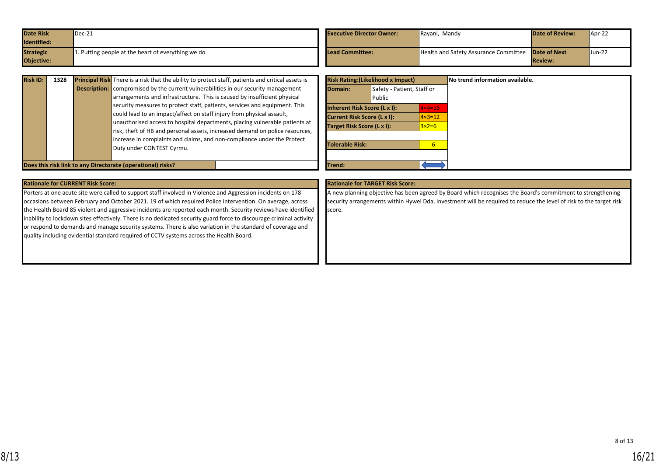| <b>Date Risk</b>   | Dec-21                                            | <b>Executive Director Owner:</b> | Rayani, Mandy                                             | <b>Date of Review:</b> | Apr-22 |
|--------------------|---------------------------------------------------|----------------------------------|-----------------------------------------------------------|------------------------|--------|
| <b>Identified:</b> |                                                   |                                  |                                                           |                        |        |
| <b>Strategic</b>   | . Putting people at the heart of everything we do | Lead Committee:                  | <b>Health and Safety Assurance Committee Date of Next</b> |                        | Jun-22 |
| Objective:         |                                                   |                                  |                                                           | <b>Review:</b>         |        |

| <b>Risk ID:</b> | 1328 | Principal Risk There is a risk that the ability to protect staff, patients and critical assets is |
|-----------------|------|---------------------------------------------------------------------------------------------------|
|                 |      | <b>Description:</b> compromised by the current vulnerabilities in our security management         |
|                 |      | arrangements and infrastructure. This is caused by insufficient physical                          |
|                 |      | security measures to protect staff, patients, services and equipment. This                        |
|                 |      | could lead to an impact/affect on staff injury from physical assault,                             |
|                 |      | unauthorised access to hospital departments, placing vulnerable patients at                       |
|                 |      | risk, theft of HB and personal assets, increased demand on police resources,                      |
|                 |      | increase in complaints and claims, and non-compliance under the Protect                           |
|                 |      | Duty under CONTEST Cyrmu.                                                                         |
|                 |      |                                                                                                   |

|                                    | <b>Risk Rating: (Likelihood x Impact)</b> |                   |
|------------------------------------|-------------------------------------------|-------------------|
| Domain:                            | Safety - Patient, Staff or                |                   |
|                                    | Public                                    |                   |
|                                    | Inherent Risk Score (L x I):              | $4 \times 4 = 16$ |
| <b>Current Risk Score (L x I):</b> |                                           | $4 \times 3 = 12$ |
| Target Risk Score (L x I):         |                                           | $3x2=6$           |
|                                    |                                           |                   |
| Tolerable Risk:                    |                                           | 6                 |
|                                    |                                           |                   |
| Trend:                             |                                           |                   |

**Does this risk link to any Directorate (operational) risks?** 

Porters at one acute site were called to support staff involved in Violence and Aggression incidents on 178 occasions between February and October 2021. 19 of which required Police intervention. On average, across the Health Board 85 violent and aggressive incidents are reported each month. Security reviews have identified inability to lockdown sites effectively. There is no dedicated security guard force to discourage criminal activity or respond to demands and manage security systems. There is also variation in the standard of coverage and quality including evidential standard required of CCTV systems across the Health Board.

#### **Rationale for CURRENT Risk Score: Rationale for TARGET Risk Score:**

A new planning objective has been agreed by Board which recognises the Board's commitment to strengthening security arrangements within Hywel Dda, investment will be required to reduce the level of risk to the target risk score.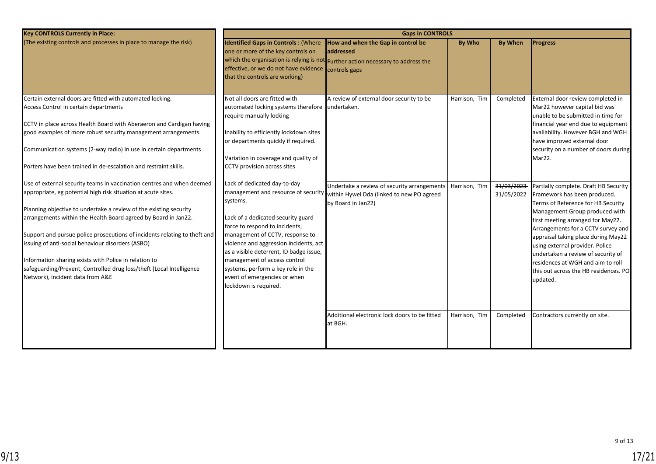| <b>Key CONTROLS Currently in Place:</b>                                                                                                                                                                                                                                                                                                                                                                                                                                                                                                                                              | <b>Gaps in CONTROLS</b>                                                                                                                                                                                                                                                                                                                                                                                        |                                                                                                                                                                 |                                |                                       |                                                                                                                                                                                                                                                                                                                                                                                                                                                                      |  |  |  |  |
|--------------------------------------------------------------------------------------------------------------------------------------------------------------------------------------------------------------------------------------------------------------------------------------------------------------------------------------------------------------------------------------------------------------------------------------------------------------------------------------------------------------------------------------------------------------------------------------|----------------------------------------------------------------------------------------------------------------------------------------------------------------------------------------------------------------------------------------------------------------------------------------------------------------------------------------------------------------------------------------------------------------|-----------------------------------------------------------------------------------------------------------------------------------------------------------------|--------------------------------|---------------------------------------|----------------------------------------------------------------------------------------------------------------------------------------------------------------------------------------------------------------------------------------------------------------------------------------------------------------------------------------------------------------------------------------------------------------------------------------------------------------------|--|--|--|--|
| (The existing controls and processes in place to manage the risk)                                                                                                                                                                                                                                                                                                                                                                                                                                                                                                                    | <b>Identified Gaps in Controls: (Where</b><br>one or more of the key controls on<br>effective, or we do not have evidence<br>that the controls are working)                                                                                                                                                                                                                                                    | How and when the Gap in control be<br>laddressed<br>which the organisation is relying is not Further action necessary to address the<br>controls gaps           | <b>By Who</b>                  | <b>By When</b>                        | <b>Progress</b>                                                                                                                                                                                                                                                                                                                                                                                                                                                      |  |  |  |  |
| Certain external doors are fitted with automated locking.<br>Access Control in certain departments<br>CCTV in place across Health Board with Aberaeron and Cardigan having<br>good examples of more robust security management arrangements.<br>Communication systems (2-way radio) in use in certain departments<br>Porters have been trained in de-escalation and restraint skills.                                                                                                                                                                                                | Not all doors are fitted with<br>automated locking systems therefore undertaken.<br>require manually locking<br>Inability to efficiently lockdown sites<br>or departments quickly if required.<br>Variation in coverage and quality of<br>CCTV provision across sites                                                                                                                                          | A review of external door security to be                                                                                                                        | Harrison, Tim                  | Completed                             | External door review completed in<br>Mar22 however capital bid was<br>unable to be submitted in time for<br>financial year end due to equipment<br>availability. However BGH and WGH<br>have improved external door<br>security on a number of doors during<br>Mar22.                                                                                                                                                                                                |  |  |  |  |
| Use of external security teams in vaccination centres and when deemed<br>appropriate, eg potential high risk situation at acute sites.<br>Planning objective to undertake a review of the existing security<br>arrangements within the Health Board agreed by Board in Jan22.<br>Support and pursue police prosecutions of incidents relating to theft and<br>issuing of anti-social behaviour disorders (ASBO)<br>Information sharing exists with Police in relation to<br>safeguarding/Prevent, Controlled drug loss/theft (Local Intelligence<br>Network), incident data from A&E | Lack of dedicated day-to-day<br>management and resource of security<br>systems.<br>Lack of a dedicated security guard<br>force to respond to incidents,<br>management of CCTV, response to<br>violence and aggression incidents, act<br>as a visible deterrent, ID badge issue,<br>management of access control<br>systems, perform a key role in the<br>event of emergencies or when<br>lockdown is required. | Undertake a review of security arrangements<br>within Hywel Dda (linked to new PO agreed<br>by Board in Jan22)<br>Additional electronic lock doors to be fitted | Harrison, Tim<br>Harrison, Tim | 31/03/2023<br>31/05/2022<br>Completed | Partially complete. Draft HB Security<br>Framework has been produced.<br>Terms of Reference for HB Security<br>Management Group produced with<br>first meeting arranged for May22.<br>Arrangements for a CCTV survey and<br>appraisal taking place during May22<br>using external provider. Police<br>undertaken a review of security of<br>residences at WGH and aim to roll<br>this out across the HB residences. PO<br>updated.<br>Contractors currently on site. |  |  |  |  |
|                                                                                                                                                                                                                                                                                                                                                                                                                                                                                                                                                                                      |                                                                                                                                                                                                                                                                                                                                                                                                                | at BGH.                                                                                                                                                         |                                |                                       |                                                                                                                                                                                                                                                                                                                                                                                                                                                                      |  |  |  |  |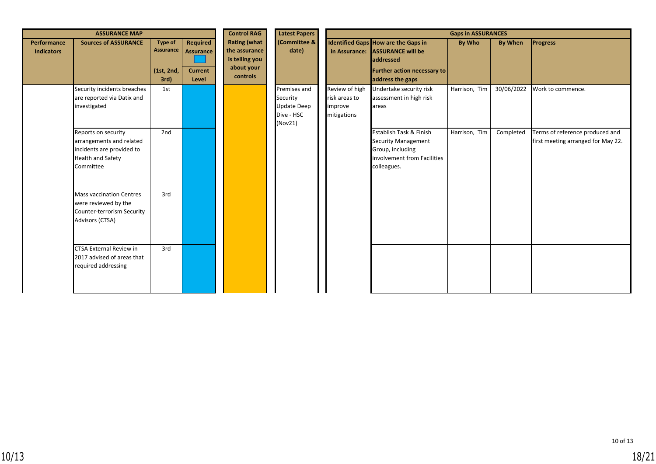|                                         | <b>ASSURANCE MAP</b>                                                                                                  |                                                   | <b>Control RAG</b>                                      | <b>Latest Papers</b>                                                             | <b>Gaps in ASSURANCES</b>                                               |                                                           |                                                                                                                                        |               |            |                                                                       |
|-----------------------------------------|-----------------------------------------------------------------------------------------------------------------------|---------------------------------------------------|---------------------------------------------------------|----------------------------------------------------------------------------------|-------------------------------------------------------------------------|-----------------------------------------------------------|----------------------------------------------------------------------------------------------------------------------------------------|---------------|------------|-----------------------------------------------------------------------|
| <b>Performance</b><br><b>Indicators</b> | <b>Sources of ASSURANCE</b>                                                                                           | <b>Type of</b><br>Assurance<br>(1st, 2nd,<br>3rd) | <b>Required</b><br>Assurance<br><b>Current</b><br>Level | <b>Rating (what</b><br>the assurance<br>is telling you<br>about your<br>controls | (Committee &<br>date)                                                   |                                                           | Identified Gaps How are the Gaps in<br>in Assurance: ASSURANCE will be<br>addressed<br>Further action necessary to<br>address the gaps | By Who        | By When    | <b>Progress</b>                                                       |
|                                         | Security incidents breaches<br>are reported via Datix and<br>investigated                                             | 1st                                               |                                                         |                                                                                  | Premises and<br>Security<br><b>Update Deep</b><br>Dive - HSC<br>(Nov21) | Review of high<br>risk areas to<br>improve<br>mitigations | Undertake security risk<br>assessment in high risk<br>areas                                                                            | Harrison, Tim | 30/06/2022 | Work to commence.                                                     |
|                                         | Reports on security<br>arrangements and related<br>incidents are provided to<br><b>Health and Safety</b><br>Committee | 2nd                                               |                                                         |                                                                                  |                                                                         |                                                           | Establish Task & Finish<br>Security Management<br>Group, including<br>involvement from Facilities<br>colleagues.                       | Harrison, Tim | Completed  | Terms of reference produced and<br>first meeting arranged for May 22. |
|                                         | <b>Mass vaccination Centres</b><br>were reviewed by the<br>Counter-terrorism Security<br>Advisors (CTSA)              | 3rd                                               |                                                         |                                                                                  |                                                                         |                                                           |                                                                                                                                        |               |            |                                                                       |
|                                         | <b>CTSA External Review in</b><br>2017 advised of areas that<br>required addressing                                   | 3rd                                               |                                                         |                                                                                  |                                                                         |                                                           |                                                                                                                                        |               |            |                                                                       |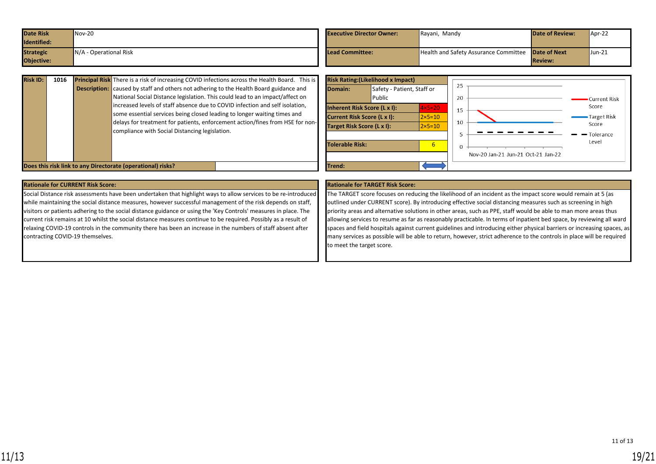| <b>Date Risk</b> | $Nov-20$                 | <b>Executive Director Owner:</b> | Rayani, Mandy                                             | <b>Date of Review:</b> | Apr-22 |
|------------------|--------------------------|----------------------------------|-----------------------------------------------------------|------------------------|--------|
| Identified:      |                          |                                  |                                                           |                        |        |
| <b>Strategic</b> | $N/A$ - Operational Risk | Lead Committee:                  | <b>Health and Safety Assurance Committee Date of Next</b> |                        | Jun-21 |
| Objective:       |                          |                                  |                                                           | <b>Review:</b>         |        |

| <b>Risk ID:</b> | 1016 | <b>Principal Risk</b> There is a risk of increasing COVID infections across the Health Board. This is                                                                                                                                                        |  | <b>Risk Rating: (Likelihood x I</b>                                                             |                      |
|-----------------|------|--------------------------------------------------------------------------------------------------------------------------------------------------------------------------------------------------------------------------------------------------------------|--|-------------------------------------------------------------------------------------------------|----------------------|
|                 |      | <b>Description:</b> caused by staff and others not adhering to the Health Board guidance and<br>National Social Distance legislation. This could lead to an impact/affect on<br>increased levels of staff absence due to COVID infection and self isolation, |  | Domain:                                                                                         | Safety - F<br>Public |
|                 |      | some essential services being closed leading to longer waiting times and<br>delays for treatment for patients, enforcement action/fines from HSE for non-<br>compliance with Social Distancing legislation.                                                  |  | Inherent Risk Score (L x I)<br><b>Current Risk Score (L x I):</b><br>Target Risk Score (L x I): |                      |
|                 |      |                                                                                                                                                                                                                                                              |  | Tolerable Risk:                                                                                 |                      |
|                 |      | Does this risk link to any Directorate (operational) risks?                                                                                                                                                                                                  |  | Trend:                                                                                          |                      |



### **Rationale for CURRENT Risk Score: Rationale for TARGET Risk Score:**

Social Distance risk assessments have been undertaken that highlight ways to allow services to be re-introduced while maintaining the social distance measures, however successful management of the risk depends on staff, visitors or patients adhering to the social distance guidance or using the 'Key Controls' measures in place. The current risk remains at 10 whilst the social distance measures continue to be required. Possibly as a result of relaxing COVID-19 controls in the community there has been an increase in the numbers of staff absent after contracting COVID-19 themselves.

The TARGET score focuses on reducing the likelihood of an incident as the impact score would remain at 5 (as outlined under CURRENT score). By introducing effective social distancing measures such as screening in high priority areas and alternative solutions in other areas, such as PPE, staff would be able to man more areas thus allowing services to resume as far as reasonably practicable. In terms of inpatient bed space, by reviewing all ward spaces and field hospitals against current guidelines and introducing either physical barriers or increasing spaces, as many services as possible will be able to return, however, strict adherence to the controls in place will be required to meet the target score.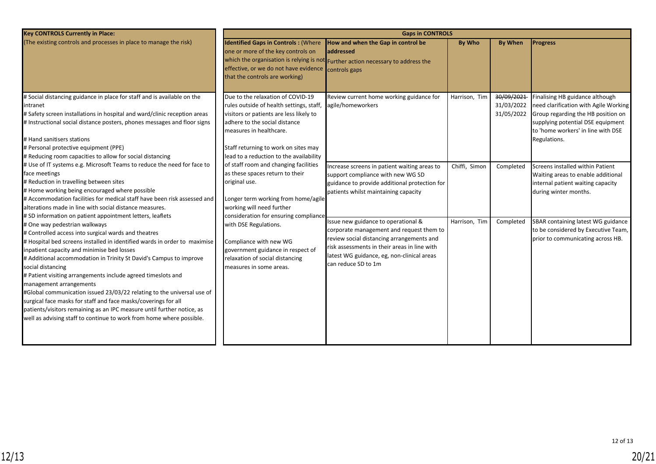| <b>Key CONTROLS Currently in Place:</b>                                                                                                                                                                                                                                                                                                                                                                                                                                                                                                                                                                                                                                                              | <b>Gaps in CONTROLS</b>                                                                                                                                                                                                                                                                                                                                      |                                                                                                                                                                            |                                                                                                                                                                                                                                                   |                                        |                                                                                                                                                                                                           |                                                                                                                |  |  |
|------------------------------------------------------------------------------------------------------------------------------------------------------------------------------------------------------------------------------------------------------------------------------------------------------------------------------------------------------------------------------------------------------------------------------------------------------------------------------------------------------------------------------------------------------------------------------------------------------------------------------------------------------------------------------------------------------|--------------------------------------------------------------------------------------------------------------------------------------------------------------------------------------------------------------------------------------------------------------------------------------------------------------------------------------------------------------|----------------------------------------------------------------------------------------------------------------------------------------------------------------------------|---------------------------------------------------------------------------------------------------------------------------------------------------------------------------------------------------------------------------------------------------|----------------------------------------|-----------------------------------------------------------------------------------------------------------------------------------------------------------------------------------------------------------|----------------------------------------------------------------------------------------------------------------|--|--|
| (The existing controls and processes in place to manage the risk)                                                                                                                                                                                                                                                                                                                                                                                                                                                                                                                                                                                                                                    | <b>Identified Gaps in Controls: (Where</b><br>one or more of the key controls on<br>effective, or we do not have evidence<br>that the controls are working)                                                                                                                                                                                                  | How and when the Gap in control be<br>laddressed<br>which the organisation is relying is not Further action necessary to address the<br>controls gaps                      | <b>By Who</b>                                                                                                                                                                                                                                     | <b>By When</b>                         | <b>Progress</b>                                                                                                                                                                                           |                                                                                                                |  |  |
| # Social distancing guidance in place for staff and is available on the<br>intranet<br># Safety screen installations in hospital and ward/clinic reception areas<br># Instructional social distance posters, phones messages and floor signs<br># Hand sanitisers stations<br># Personal protective equipment (PPE)<br># Reducing room capacities to allow for social distancing                                                                                                                                                                                                                                                                                                                     | Due to the relaxation of COVID-19<br>rules outside of health settings, staff,<br>visitors or patients are less likely to<br>adhere to the social distance<br>measures in healthcare.<br>Staff returning to work on sites may<br>lead to a reduction to the availability                                                                                      | Review current home working guidance for<br>agile/homeworkers                                                                                                              | Harrison, Tim                                                                                                                                                                                                                                     | 30/09/2021<br>31/03/2022<br>31/05/2022 | Finalising HB guidance although<br>need clarification with Agile Working<br>Group regarding the HB position on<br>supplying potential DSE equipment<br>to 'home workers' in line with DSE<br>Regulations. |                                                                                                                |  |  |
| # Use of IT systems e.g. Microsoft Teams to reduce the need for face to<br>face meetings<br># Reduction in travelling between sites<br># Home working being encouraged where possible<br># Accommodation facilities for medical staff have been risk assessed and<br>alterations made in line with social distance measures.<br># SD information on patient appointment letters, leaflets                                                                                                                                                                                                                                                                                                            | of staff room and changing facilities<br>as these spaces return to their<br>original use.<br>Longer term working from home/agile<br>working will need further<br>consideration for ensuring compliance<br>with DSE Regulations.<br>Compliance with new WG<br>government guidance in respect of<br>relaxation of social distancing<br>measures in some areas. | Increase screens in patient waiting areas to<br>support compliance with new WG SD<br>guidance to provide additional protection for<br>patients whilst maintaining capacity | Chiffi, Simon                                                                                                                                                                                                                                     | Completed                              | Screens installed within Patient<br>Waiting areas to enable additional<br>internal patient waiting capacity<br>during winter months.                                                                      |                                                                                                                |  |  |
| # One way pedestrian walkways<br># Controlled access into surgical wards and theatres<br># Hospital bed screens installed in identified wards in order to maximise<br>inpatient capacity and minimise bed losses<br># Additional accommodation in Trinity St David's Campus to improve<br>social distancing<br># Patient visiting arrangements include agreed timeslots and<br>management arrangements<br>#Global communication issued 23/03/22 relating to the universal use of<br>surgical face masks for staff and face masks/coverings for all<br>patients/visitors remaining as an IPC measure until further notice, as<br>well as advising staff to continue to work from home where possible. |                                                                                                                                                                                                                                                                                                                                                              |                                                                                                                                                                            | Issue new guidance to operational &<br>corporate management and request them to<br>review social distancing arrangements and<br>risk assessments in their areas in line with<br>latest WG guidance, eg, non-clinical areas<br>can reduce SD to 1m | Harrison, Tim                          | Completed                                                                                                                                                                                                 | SBAR containing latest WG guidance<br>to be considered by Executive Team,<br>prior to communicating across HB. |  |  |